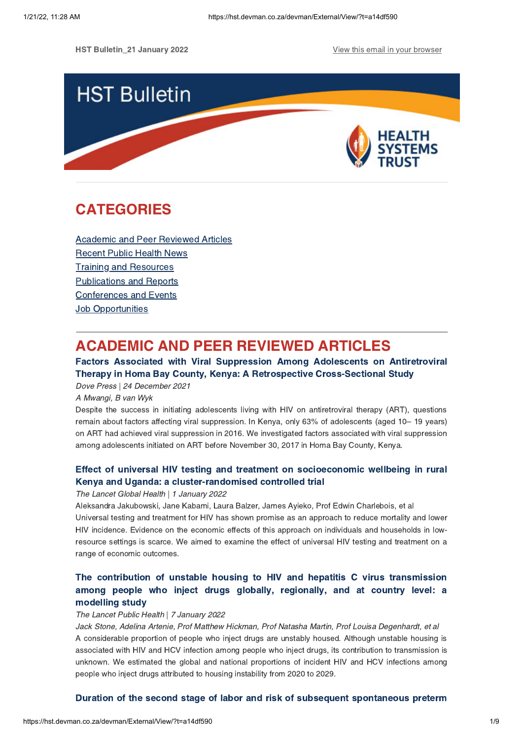HST Bulletin\_21 January 2022 **View this email in your [browser](https://hst.devman.co.za/devman/external/?t=5e20d589&t1=a14df590)** 



# **CATEGORIES** CATEGORIES<br>CATEGORIES<br>CATEGORIES

Academic and Peer [Reviewed](#page-0-0) Articles [Recent](#page-2-0) Public Health News Training and Resources [Publications](#page-4-0) and Reports [Conferences](#page-5-0) and Events **Job [Opportunities](#page-7-0)** 

## <span id="page-0-0"></span>**ACADEMIC AND PEER REVIEWED ARTICLES**

### Factors Associated with Viral Suppression Among Adolescents on Antiretroviral Therapy in Homa Bay County, Kenya: A Retrospective Cross-Sectional Study Therapy in Homa Bay County, Kenya: A Retrospective Cross-Sectional Study Dove Press | 24 December 2021

A Mwangi, B van Wyk

Despite the success in initiating adolescents living with HIV on antiretroviral therapy (ART), questions remain about factors affecting viral suppression. In Kenya, only 63% of adolescents (aged 10– 19 years) on ART had achieved viral suppression in 2016. We investigated factors associated with viral suppression among adolescents initiated on ART before November 30, 2017 in Homa Bay County, Kenya.

# Effect of universal HIV testing and treatment on [socioeconomic](https://hst.devman.co.za/devman/external/?t=ef862bc7) wellbeing in rural Kenya and Uganda: a cluster-randomised controlled trial

## Kenya and Uganda: a cluster-randomised controlled trial The Lancet Global Health | 1 January 2022

Aleksandra Jakubowski, Jane Kabami, Laura Balzer, James Ayieko, Prof Edwin Charlebois, et al Universal testing and treatment for HIV has shown promise as an approach to reduce mortality and lower HIV incidence. Evidence on the economic effects of this approach on individuals and households in lowresource settings is scarce. We aimed to examine the effect of universal HIV testing and treatment on a range of economic outcomes.

# The communities in anomator contribution of the minimizing contribution among people who inject drugs globally, regionally, and at country level: a among people who inject drugs globally, regionally, and at country level: at modelling study

## modelling study<br>The Lancet Public Health | 7 January 2022

Jack Stone, Adelina Artenie, Prof Matthew Hickman, Prof Natasha Martin, Prof Louisa Degenhardt, et al A considerable proportion of people who inject drugs are unstably housed. Although unstable housing is associated with HIV and HCV infection among people who inject drugs, its contribution to transmission is unknown. We estimated the global and national proportions of incident HIV and HCV infections among people who inject drugs attributed to housing instability from 2020 to 2029.

 $\mathcal{L}$  during station stage of labor and risk of subsequent [spontaneous](https://hst.devman.co.za/devman/external/?t=e40b7f05) pretermination  $\mathcal{L}$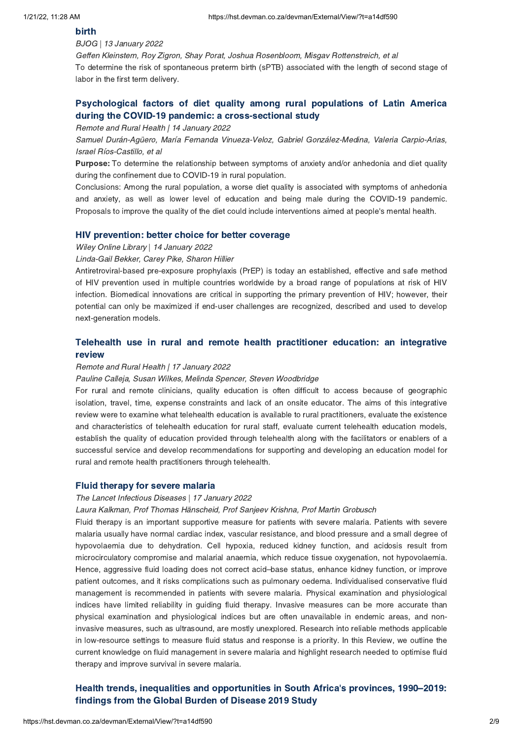## -------<br>BJOG | 13 January 2022

Geffen Kleinstern, Roy Zigron, Shay Porat, Joshua Rosenbloom, Misgav Rottenstreich, et al To determine the risk of spontaneous preterm birth (sPTB) associated with the length of second stage of labor in the first term delivery.

# [Psychological](https://hst.devman.co.za/devman/external/?t=561e012) factors of diet quality among rural populations of Latin America<br>during the COVID-19 pandemic: a cross-sectional study

during the COVID-19 pandemic: a cross-sectional study Remote and Rural Health | 14 January 2022

Samuel Durán-Agüero, María Fernanda Vinueza-Veloz, Gabriel González-Medina, Valeria Carpio-Arias, Israel Ríos-Castillo, et al

Purpose: To determine the relationship between symptoms of anxiety and/or anhedonia and diet quality during the confinement due to COVID-19 in rural population.

Conclusions: Among the rural population, a worse diet quality is associated with symptoms of anhedonia and anxiety, as well as lower level of education and being male during the COVID-19 pandemic. Proposals to improve the quality of the diet could include interventions aimed at people's mental health.

Wiley Online Library | 14 January 2022

Linda-Gail Bekker, Carey Pike, Sharon Hillier

Antiretroviral-based pre-exposure prophylaxis (PrEP) is today an established, effective and safe method of HIV prevention used in multiple countries worldwide by a broad range of populations at risk of HIV infection. Biomedical innovations are critical in supporting the primary prevention of HIV; however, their potential can only be maximized if end-user challenges are recognized, described and used to develop next-generation models.

# Telement use in rulat and remote the motion product in rule and remote  $\mathcal{S}$

## review Remote and Rural Health | 17 January 2022

### Pauline Calleja, Susan Wilkes, Melinda Spencer, Steven Woodbridge

For rural and remote clinicians, quality education is often difficult to access because of geographic isolation, travel, time, expense constraints and lack of an onsite educator. The aims of this integrative review were to examine what telehealth education is available to rural practitioners, evaluate the existence and characteristics of telehealth education for rural staff, evaluate current telehealth education models, establish the quality of education provided through telehealth along with the facilitators or enablers of a successful service and develop recommendations for supporting and developing an education model for rural and remote health practitioners through telehealth.

## Fluid therapy for severe malaria The Lancet Infectious Diseases | 17 January 2022

Laura Kalkman, Prof Thomas Hänscheid, Prof Sanjeev Krishna, Prof Martin Grobusch

Fluid therapy is an important supportive measure for patients with severe malaria. Patients with severe malaria usually have normal cardiac index, vascular resistance, and blood pressure and a small degree of hypovolaemia due to dehydration. Cell hypoxia, reduced kidney function, and acidosis result from microcirculatory compromise and malarial anaemia, which reduce tissue oxygenation, not hypovolaemia. Hence, aggressive fluid loading does not correct acid–base status, enhance kidney function, or improve patient outcomes, and it risks complications such as pulmonary oedema. Individualised conservative fluid management is recommended in patients with severe malaria. Physical examination and physiological indices have limited reliability in guiding fluid therapy. Invasive measures can be more accurate than physical examination and physiological indices but are often unavailable in endemic areas, and noninvasive measures, such as ultrasound, are mostly unexplored. Research into reliable methods applicable in low-resource settings to measure fluid status and response is a priority. In this Review, we outline the current knowledge on fluid management in severe malaria and highlight research needed to optimise fluid therapy and improve survival in severe malaria.

# Health trends, inequalities and opportunities in South Africa's provinces, 1990[–2019:](https://hst.devman.co.za/devman/external/?t=25d7518e)<br>findings from the Global Burden of Disease 2019 Study  $f_{\rm s}$  for  $f_{\rm s}$  and  $f_{\rm s}$  and  $f_{\rm s}$  are  $20$  section of  $20$  section  $f_{\rm s}$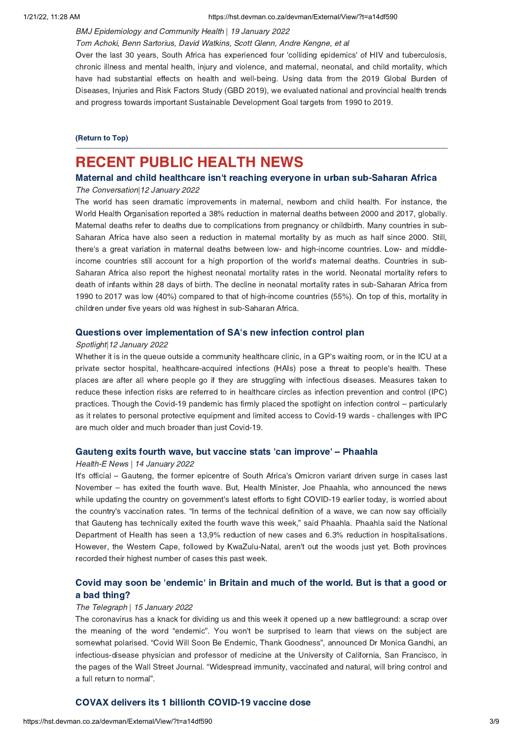### BMJ Epidemiology and Community Health | 19 January 2022

Tom Achoki, Benn Sartorius, David Watkins, Scott Glenn, Andre Kengne, et al

Over the last 30 years, South Africa has experienced four 'colliding epidemics' of HIV and tuberculosis, chronic illness and mental health, injury and violence, and maternal, neonatal, and child mortality, which have had substantial effects on health and well-being. Using data from the 2019 Global Burden of Diseases, Injuries and Risk Factors Study (GBD 2019), we evaluated national and provincial health trends and progress towards important Sustainable Development Goal targets from 1990 to 2019.

(Return to Top)

## <span id="page-2-0"></span>**RECENT PUBLIC HEALTH NEWS**

# Maternal and child healthcare isn't reaching everyone in urban sub-Saharan Africa<br>The Conversation|12 January 2022

### The Conversation|12 January 2022

The world has seen dramatic improvements in maternal, newborn and child health. For instance, the World Health Organisation reported a 38% reduction in maternal deaths between 2000 and 2017, globally. Maternal deaths refer to deaths due to complications from pregnancy or childbirth. Many countries in sub-Saharan Africa have also seen a reduction in maternal mortality by as much as half since 2000. Still, there's a great variation in maternal deaths between low- and high-income countries. Low- and middleincome countries still account for a high proportion of the world's maternal deaths. Countries in sub-Saharan Africa also report the highest neonatal mortality rates in the world. Neonatal mortality refers to death of infants within 28 days of birth. The decline in neonatal mortality rates in sub-Saharan Africa from 1990 to 2017 was low (40%) compared to that of high-income countries (55%). On top of this, mortality in children under five years old was highest in sub-Saharan Africa.

### Questions over implementation of SA['](https://hst.devman.co.za/devman/external/?t=b73ca7cc)s new infection control plan

### Spotlight 12 January 2022

Whether it is in the queue outside a community healthcare clinic, in a GP's waiting room, or in the ICU at a private sector hospital, healthcare-acquired infections (HAIs) pose a threat to people's health. These places are after all where people go if they are struggling with infectious diseases. Measures taken to reduce these infection risks are referred to in healthcare circles as infection prevention and control (IPC) practices. Though the Covid-19 pandemic has firmly placed the spotlight on infection control – particularly as it relates to personal protective equipment and limited access to Covid-19 wards - challenges with IPC are much older and much broader than just Covid-19.

### Gauteng exits fourth wave, but vaccine stats ['](https://hst.devman.co.za/devman/external/?t=7ebbb42b)can improve' – Phaahla

### Health-E News | 14 January 2022

It's official – Gauteng, the former epicentre of South Africa's Omicron variant driven surge in cases last November – has exited the fourth wave. But, Health Minister, Joe Phaahla, who announced the news while updating the country on government's latest efforts to fight COVID-19 earlier today, is worried about the country's vaccination rates. "In terms of the technical definition of a wave, we can now say officially that Gauteng has technically exited the fourth wave this week," said Phaahla. Phaahla said the National Department of Health has seen a 13,9% reduction of new cases and 6.3% reduction in hospitalisations. However, the Western Cape, followed by KwaZulu-Natal, aren't out the woods just yet. Both provinces recorded their highest number of cases this past week.

# Covid may soon be ['endemic'](https://hst.devman.co.za/devman/external/?t=abc1fb0a) in Britain and much of the world. But is that a good or

### a bada badag.<br>The Telegraph | 15 January 2022

The coronavirus has a knack for dividing us and this week it opened up a new battleground: a scrap over the meaning of the word "endemic". You won't be surprised to learn that views on the subject are somewhat polarised. "Covid Will Soon Be Endemic, Thank Goodness", announced Dr Monica Gandhi, an infectious-disease physician and professor of medicine at the University of California, San Francisco, in the pages of the Wall Street Journal. "Widespread immunity, vaccinated and natural, will bring control and a full return to normal".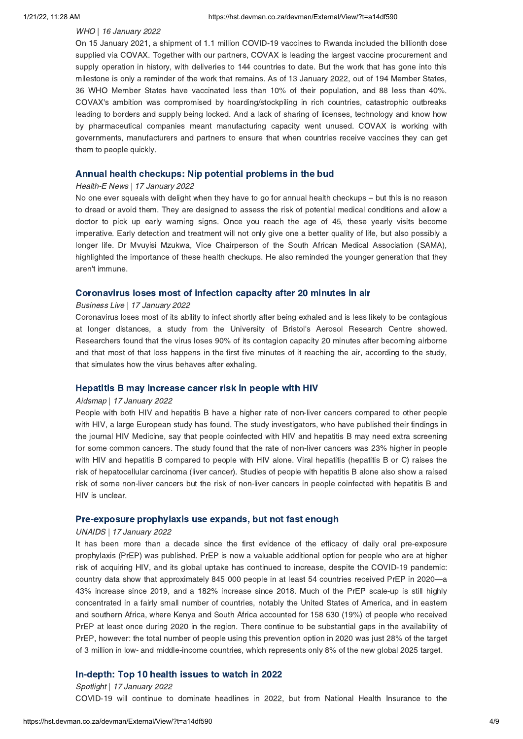### WHO | 16 January 2022

On 15 January 2021, a shipment of 1.1 million COVID-19 vaccines to Rwanda included the billionth dose supplied via COVAX. Together with our partners, COVAX is leading the largest vaccine procurement and supply operation in history, with deliveries to 144 countries to date. But the work that has gone into this milestone is only a reminder of the work that remains. As of 13 January 2022, out of 194 Member States, 36 WHO Member States have vaccinated less than 10% of their population, and 88 less than 40%. COVAX's ambition was compromised by hoarding/stockpiling in rich countries, catastrophic outbreaks leading to borders and supply being locked. And a lack of sharing of licenses, technology and know how by pharmaceutical companies meant manufacturing capacity went unused. COVAX is working with governments, manufacturers and partners to ensure that when countries receive vaccines they can get them to people quickly.

### Annual health checkups: Nip potential problems in the bud Health-E News | 17 January 2022

No one ever squeals with delight when they have to go for annual health checkups – but this is no reason to dread or avoid them. They are designed to assess the risk of potential medical conditions and allow a doctor to pick up early warning signs. Once you reach the age of 45, these yearly visits become imperative. Early detection and treatment will not only give one a better quality of life, but also possibly a longer life. Dr Mvuyisi Mzukwa, Vice Chairperson of the South African Medical Association (SAMA), highlighted the importance of these health checkups. He also reminded the younger generation that they aren't immune.

### Business Live | 17 January 2022

Coronavirus loses most of its ability to infect shortly after being exhaled and is less likely to be contagious at longer distances, a study from the University of Bristol's Aerosol Research Centre showed. Researchers found that the virus loses 90% of its contagion capacity 20 minutes after becoming airborne and that most of that loss happens in the first five minutes of it reaching the air, according to the study, that simulates how the virus behaves after exhaling.

### Hepatitis B may increase cancer risk in people with HIV Aidsmap | 17 January 2022

People with both HIV and hepatitis B have a higher rate of non-liver cancers compared to other people with HIV, a large European study has found. The study investigators, who have published their findings in the journal HIV Medicine, say that people coinfected with HIV and hepatitis B may need extra screening for some common cancers. The study found that the rate of non-liver cancers was 23% higher in people with HIV and hepatitis B compared to people with HIV alone. Viral hepatitis (hepatitis B or C) raises the risk of hepatocellular carcinoma (liver cancer). Studies of people with hepatitis B alone also show a raised risk of some non-liver cancers but the risk of non-liver cancers in people coinfected with hepatitis B and HIV is unclear.

### Pre-exposure prophylaxis use expands, but not fast enough UNAIDS | 17 January 2022

It has been more than a decade since the first evidence of the efficacy of daily oral pre-exposure prophylaxis (PrEP) was published. PrEP is now a valuable additional option for people who are at higher risk of acquiring HIV, and its global uptake has continued to increase, despite the COVID-19 pandemic: country data show that approximately 845 000 people in at least 54 countries received PrEP in 2020—a 43% increase since 2019, and a 182% increase since 2018. Much of the PrEP scale-up is still highly concentrated in a fairly small number of countries, notably the United States of America, and in eastern and southern Africa, where Kenya and South Africa accounted for 158 630 (19%) of people who received PrEP at least once during 2020 in the region. There continue to be substantial gaps in the availability of PrEP, however: the total number of people using this prevention option in 2020 was just 28% of the target of 3 million in low- and middle-income countries, which represents only 8% of the new global 2025 target.

### Spotlight | 17 January 2022

COVID-19 will continue to dominate headlines in 2022, but from National Health Insurance to the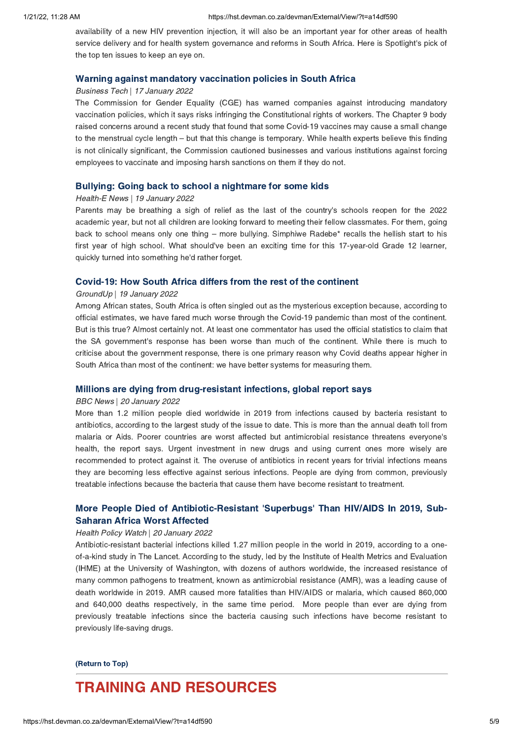availability of a new HIV prevention injection, it will also be an important year for other areas of health service delivery and for health system governance and reforms in South Africa. Here is Spotlight's pick of the top ten issues to keep an eye on.

### Warning against mandatory vaccination policies in South Africa Business Tech | 17 January 2022

The Commission for Gender Equality (CGE) has warned companies against introducing mandatory vaccination policies, which it says risks infringing the Constitutional rights of workers. The Chapter 9 body raised concerns around a recent study that found that some Covid-19 vaccines may cause a small change to the menstrual cycle length – but that this change is temporary. While health experts believe this finding is not clinically significant, the Commission cautioned businesses and various institutions against forcing employees to vaccinate and imposing harsh sanctions on them if they do not.

### Bullying: Going back to school a nightmare for some kids Health-E News | 19 January 2022

Parents may be breathing a sigh of relief as the last of the country's schools reopen for the 2022 academic year, but not all children are looking forward to meeting their fellow classmates. For them, going back to school means only one thing – more bullying. Simphiwe Radebe\* recalls the hellish start to his first year of high school. What should've been an exciting time for this 17-year-old Grade 12 learner, quickly turned into something he'd rather forget.

### GroundUp | 19 January 2022

Among African states, South Africa is often singled out as the mysterious exception because, according to official estimates, we have fared much worse through the Covid-19 pandemic than most of the continent. But is this true? Almost certainly not. At least one commentator has used the official statistics to claim that the SA government's response has been worse than much of the continent. While there is much to criticise about the government response, there is one primary reason why Covid deaths appear higher in South Africa than most of the continent: we have better systems for measuring them.

### Millions are dying from drug-resistant infections, global report says BBC News | 20 January 2022

More than 1.2 million people died worldwide in 2019 from infections caused by bacteria resistant to antibiotics, according to the largest study of the issue to date. This is more than the annual death toll from malaria or Aids. Poorer countries are worst affected but antimicrobial resistance threatens everyone's health, the report says. Urgent investment in new drugs and using current ones more wisely are recommended to protect against it. The overuse of antibiotics in recent years for trivial infections means they are becoming less effective against serious infections. People are dying from common, previously treatable infections because the bacteria that cause them have become resistant to treatment.

# More People Died of Antibiotic-Resistant ['Superbugs'](https://hst.devman.co.za/devman/external/?t=cac04c5a) Than HIV/AIDS In 2019, Sub-

### Saharan Africa Worst Affected Health Policy Watch | 20 January 2022

Antibiotic-resistant bacterial infections killed 1.27 million people in the world in 2019, according to a oneof-a-kind study in The Lancet. According to the study, led by the Institute of Health Metrics and Evaluation (IHME) at the University of Washington, with dozens of authors worldwide, the increased resistance of many common pathogens to treatment, known as antimicrobial resistance (AMR), was a leading cause of death worldwide in 2019. AMR caused more fatalities than HIV/AIDS or malaria, which caused 860,000 and 640,000 deaths respectively, in the same time period. More people than ever are dying from previously treatable infections since the bacteria causing such infections have become resistant to previously life-saving drugs.

## $\overline{\phantom{a}}$

## <span id="page-4-0"></span>**TRAINING AND RESOURCES**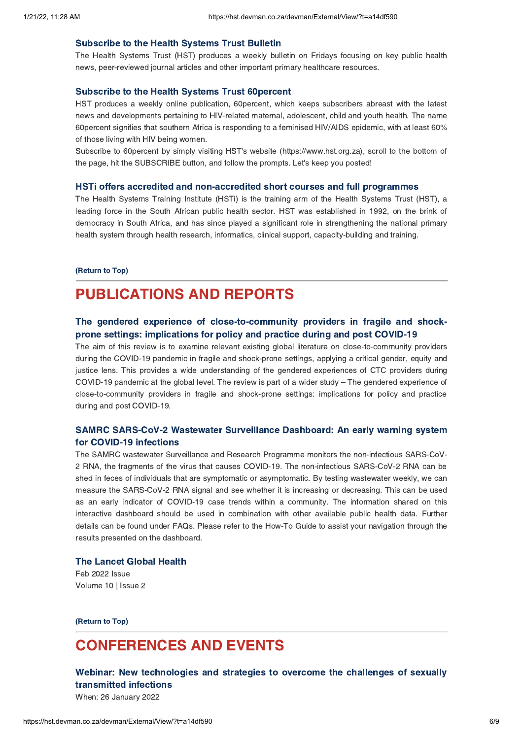The Health Systems Trust (HST) produces a weekly bulletin on Fridays focusing on key public health news, peer-reviewed journal articles and other important primary healthcare resources.

Subscribe to the Health Systems Trust 60percent HST produces a weekly online publication, 60percent, which keeps subscribers abreast with the latest news and developments pertaining to HIV-related maternal, adolescent, child and youth health. The name 60percent signifies that southern Africa is responding to a feminised HIV/AIDS epidemic, with at least 60% of those living with HIV being women.

Subscribe to 60percent by simply visiting HST's website (https://www.hst.org.za), scroll to the bottom of the page, hit the SUBSCRIBE button, and follow the prompts. Let's keep you posted!

The Health Systems Training Institute (HSTi) is the training arm of the Health Systems Trust (HST), a leading force in the South African public health sector. HST was established in 1992, on the brink of democracy in South Africa, and has since played a significant role in strengthening the national primary health system through health research, informatics, clinical support, capacity-building and training.

### (Return to Top)

## **PUBLICATIONS AND REPORTS**

### The gendered experience of close-to-community providers in fragile and shockprone settings: implications for policy and practice during and post COVID-19

The aim of this review is to examine relevant existing global literature on close-to-community providers during the COVID-19 pandemic in fragile and shock-prone settings, applying a critical gender, equity and justice lens. This provides a wide understanding of the gendered experiences of CTC providers during COVID-19 pandemic at the global level. The review is part of a wider study – The gendered experience of close-to-community providers in fragile and shock-prone settings: implications for policy and practice during and post COVID-19.

# SAMRC [SARS-CoV-2](https://hst.devman.co.za/devman/external/?t=c04a2aa5) Wastewater Surveillance Dashboard: An early warning system<br>for COVID-19 infections

The SAMRC wastewater Surveillance and Research Programme monitors the non-infectious SARS-CoV-2 RNA, the fragments of the virus that causes COVID-19. The non-infectious SARS-CoV-2 RNA can be shed in feces of individuals that are symptomatic or asymptomatic. By testing wastewater weekly, we can measure the SARS-CoV-2 RNA signal and see whether it is increasing or decreasing. This can be used as an early indicator of COVID-19 case trends within a community. The information shared on this interactive dashboard should be used in combination with other available public health data. Further details can be found under FAQs. Please refer to the How-To Guide to assist your navigation through the results presented on the dashboard.

The Lancet Global Health Feb 2022 Issue Volume 10 | Issue 2

 $\overline{\phantom{a}}$ 

## <span id="page-5-0"></span>**CONFERENCES AND EVENTS**

Webinar: New technologies and strategies to overcome the challenges of sexually transmitted infections

When: 26 January 2022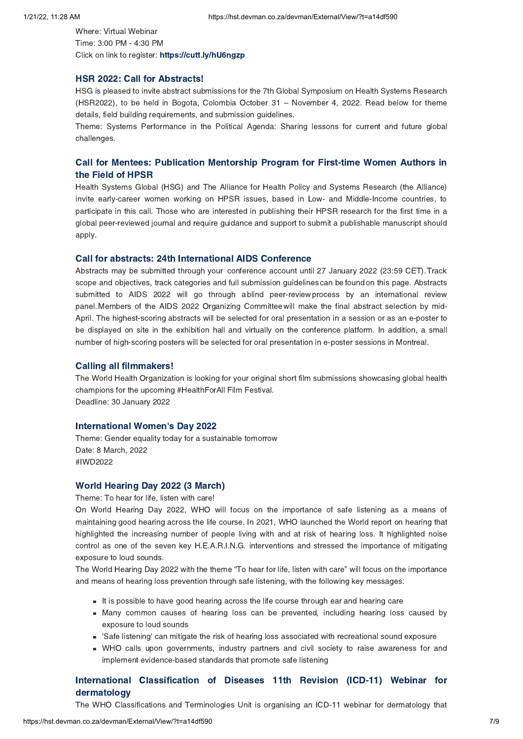Where: Virtual Webinar Time: 3:00 PM - 4:30 PM Click on link to register: https://cutt.ly/hU6ngzp https://www.file.org/processing.pro<br>.

HSR 2022: Call for Abstracts! HSG is pleased to invite abstract submissions for the 7th Global Symposium on Health Systems Research (HSR2022), to be held in Bogota, Colombia October 31 – November 4, 2022. Read below for theme details, field building requirements, and submission guidelines.

Theme: Systems Performance in the Political Agenda: Sharing lessons for current and future global challenges.

# Call for Mentees: [Publication](https://hst.devman.co.za/devman/external/?t=e0bf9c21) Mentorship Program for First-time Women Authors in

the Field of HPSR Health Systems Global (HSG) and The Alliance for Health Policy and Systems Research (the Alliance) invite early-career women working on HPSR issues, based in Low- and Middle-Income countries, to participate in this call. Those who are interested in publishing their HPSR research for the first time in a global peer-reviewed journal and require guidance and support to submit a publishable manuscript should apply.

### **Call for abstracts: 24th International AIDS Conference**

-<br>Abstracts may be submitted through your conference account until 27 January 2022 (23:59 CET). Track scope and objectives, track categories and full submission guidelines can be found on this page. Abstracts submitted to AIDS 2022 will go through a blind peer-review process by an international review panel.Members of the AIDS 2022 Organizing Committeewill make the final abstract selection by mid-April. The highest-scoring abstracts will be selected for oral presentation in a session or as an e-poster to be displayed on site in the exhibition hall and virtually on the conference platform. In addition, a small number of high-scoring posters will be selected for oral presentation in e-poster sessions in Montreal.

The World Health Organization is looking for your original short film submissions showcasing global health champions for the upcoming #HealthForAll Film Festival. Deadline: 30 January 2022

**International Women['](https://hst.devman.co.za/devman/external/?t=2f5044f9)s Day 2022**<br>Theme: Gender equality today for a sustainable tomorrow Date: 8 March, 2022 #IWD2022

Theme: To hear for life, listen with care!

On World Hearing Day 2022, WHO will focus on the importance of safe listening as a means of maintaining good hearing across the life course. In 2021, WHO launched the World report on hearing that highlighted the increasing number of people living with and at risk of hearing loss. It highlighted noise control as one of the seven key H.E.A.R.I.N.G. interventions and stressed the importance of mitigating exposure to loud sounds.

The World Hearing Day 2022 with the theme "To hear for life, listen with care" will focus on the importance and means of hearing loss prevention through safe listening, with the following key messages:

- It is possible to have good hearing across the life course through ear and hearing care
- Many common causes of hearing loss can be prevented, including hearing loss caused by exposure to loud sounds
- 'Safe listening' can mitigate the risk of hearing loss associated with recreational sound exposure
- WHO calls upon governments, industry partners and civil society to raise awareness for and implement evidence-based standards that promote safe listening

# dermatology **Exercise 11th Revision of Diseases 11th Revision (ICD-11)** website the contract of  $\mathcal{L}$

The WHO Classifications and Terminologies Unit is organising an ICD-11 webinar for dermatology that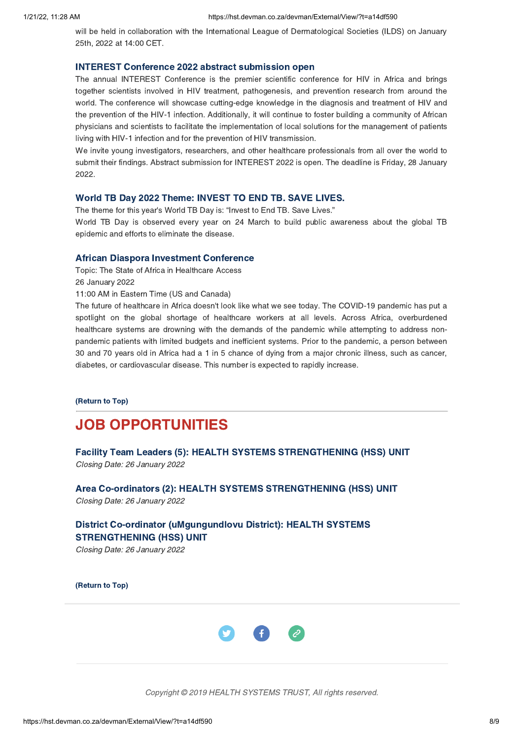will be held in collaboration with the International League of Dermatological Societies (ILDS) on January 25th, 2022 at 14:00 CET.

The annual INTEREST Conference is the premier scientific conference for HIV in Africa and brings together scientists involved in HIV treatment, pathogenesis, and prevention research from around the world. The conference will showcase cutting-edge knowledge in the diagnosis and treatment of HIV and the prevention of the HIV-1 infection. Additionally, it will continue to foster building a community of African physicians and scientists to facilitate the implementation of local solutions for the management of patients living with HIV-1 infection and for the prevention of HIV transmission.

We invite young investigators, researchers, and other healthcare professionals from all over the world to submit their findings. Abstract submission for INTEREST 2022 is open. The deadline is Friday, 28 January 2022.

World TB Day 2022 Theme: INVEST TO END TB. SAVE LIVES. The theme for this year's World TB Day is: "Invest to End TB. Save Lives."

World TB Day is observed every year on 24 March to build public awareness about the global TB epidemic and efforts to eliminate the disease.

Topic: The State of Africa in Healthcare Access 26 January 2022

11:00 AM in Eastern Time (US and Canada)

The future of healthcare in Africa doesn't look like what we see today. The COVID-19 pandemic has put a spotlight on the global shortage of healthcare workers at all levels. Across Africa, overburdened healthcare systems are drowning with the demands of the pandemic while attempting to address nonpandemic patients with limited budgets and inefficient systems. Prior to the pandemic, a person between 30 and 70 years old in Africa had a 1 in 5 chance of dying from a major chronic illness, such as cancer, diabetes, or cardiovascular disease. This number is expected to rapidly increase.

 $\overline{\phantom{a}}$ 

## <span id="page-7-0"></span>**JOB OPPORTUNITIES**

Facility Team Leaders (5): HEALTH SYSTEMS STRENGTHENING (HSS) UNIT Facility Team Leaders (5): HEALTH SYSTEMS STRENGTHENING (HSS) UNIT Closing Date: 26 January 2022

Area Co-ordinators (2): HEALTH SYSTEMS STRENGTHENING (HSS) UNIT

District Co-ordinator [\(uMgungundlovu](https://hst.devman.co.za/devman/external/?t=d5b05ff1) District): HEALTH SYSTEMS

STRENGTHENING (SPS) STRENGTHENING (SPS) UNIT

(Return to Top)



Copyright © 2019 HEALTH SYSTEMS TRUST, All rights reserved.